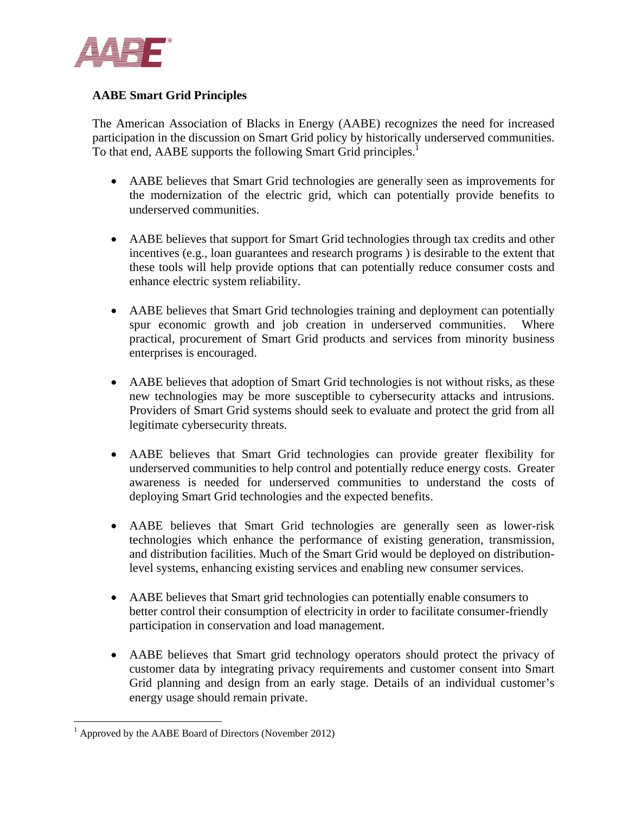

## **AABE Smart Grid Principles**

The American Association of Blacks in Energy (AABE) recognizes the need for increased participation in the discussion on Smart Grid policy by historically underserved communities. To that end, AABE supports the following Smart Grid principles.<sup>1</sup>

- AABE believes that Smart Grid technologies are generally seen as improvements for the modernization of the electric grid, which can potentially provide benefits to underserved communities.
- AABE believes that support for Smart Grid technologies through tax credits and other incentives (e.g., loan guarantees and research programs ) is desirable to the extent that these tools will help provide options that can potentially reduce consumer costs and enhance electric system reliability.
- AABE believes that Smart Grid technologies training and deployment can potentially spur economic growth and job creation in underserved communities. Where practical, procurement of Smart Grid products and services from minority business enterprises is encouraged.
- AABE believes that adoption of Smart Grid technologies is not without risks, as these new technologies may be more susceptible to cybersecurity attacks and intrusions. Providers of Smart Grid systems should seek to evaluate and protect the grid from all legitimate cybersecurity threats.
- AABE believes that Smart Grid technologies can provide greater flexibility for underserved communities to help control and potentially reduce energy costs. Greater awareness is needed for underserved communities to understand the costs of deploying Smart Grid technologies and the expected benefits.
- AABE believes that Smart Grid technologies are generally seen as lower-risk technologies which enhance the performance of existing generation, transmission, and distribution facilities. Much of the Smart Grid would be deployed on distributionlevel systems, enhancing existing services and enabling new consumer services.
- AABE believes that Smart grid technologies can potentially enable consumers to better control their consumption of electricity in order to facilitate consumer-friendly participation in conservation and load management.
- AABE believes that Smart grid technology operators should protect the privacy of customer data by integrating privacy requirements and customer consent into Smart Grid planning and design from an early stage. Details of an individual customer's energy usage should remain private.

<u>.</u>

<sup>&</sup>lt;sup>1</sup> Approved by the AABE Board of Directors (November 2012)